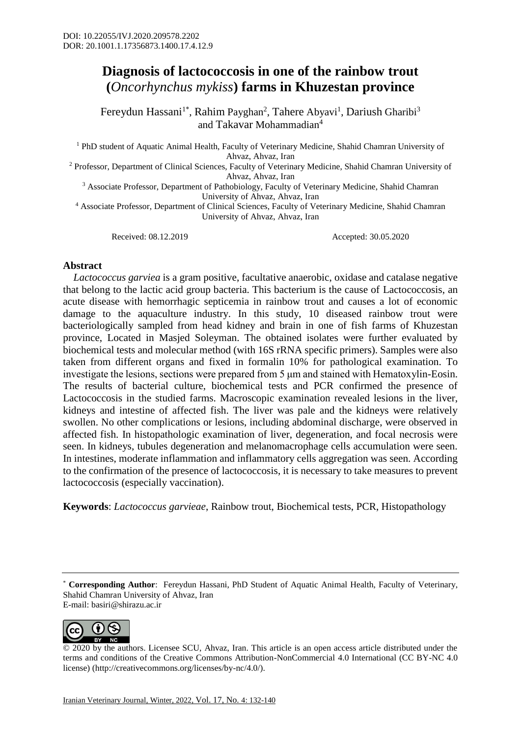## **Diagnosis of lactococcosis in one of the rainbow trout (***Oncorhynchus mykiss***) farms in Khuzestan province**

Fereydun Hassani<sup>1\*</sup>, Rahim Payghan<sup>2</sup>, Tahere Abyavi<sup>1</sup>, Dariush Gharibi<sup>3</sup> and Takavar Mohammadian<sup>4</sup>

<sup>1</sup> PhD student of Aquatic Animal Health, Faculty of Veterinary Medicine, Shahid Chamran University of Ahvaz, Ahvaz, Iran

<sup>2</sup> Professor, Department of Clinical Sciences, Faculty of Veterinary Medicine, Shahid Chamran University of Ahvaz, Ahvaz, Iran

<sup>3</sup> Associate Professor, Department of Pathobiology, Faculty of Veterinary Medicine, Shahid Chamran University of Ahvaz, Ahvaz, Iran

<sup>4</sup> Associate Professor, Department of Clinical Sciences, Faculty of Veterinary Medicine, Shahid Chamran University of Ahvaz, Ahvaz, Iran

Received: 08.12.2019 Accepted: 30.05.2020

## **Abstract**

 *Lactococcus garviea* is a gram positive, facultative anaerobic, oxidase and catalase negative that belong to the lactic acid group bacteria. This bacterium is the cause of Lactococcosis, an acute disease with hemorrhagic septicemia in rainbow trout and causes a lot of economic damage to the aquaculture industry. In this study, 10 diseased rainbow trout were bacteriologically sampled from head kidney and brain in one of fish farms of Khuzestan province, Located in Masjed Soleyman. The obtained isolates were further evaluated by biochemical tests and molecular method (with 16S rRNA specific primers). Samples were also taken from different organs and fixed in formalin 10% for pathological examination. To investigate the lesions, sections were prepared from 5 μm and stained with Hematoxylin-Eosin. The results of bacterial culture, biochemical tests and PCR confirmed the presence of Lactococcosis in the studied farms. Macroscopic examination revealed lesions in the liver, kidneys and intestine of affected fish. The liver was pale and the kidneys were relatively swollen. No other complications or lesions, including abdominal discharge, were observed in affected fish. In histopathologic examination of liver, degeneration, and focal necrosis were seen. In kidneys, tubules degeneration and melanomacrophage cells accumulation were seen. In intestines, moderate inflammation and inflammatory cells aggregation was seen. According to the confirmation of the presence of lactococcosis, it is necessary to take measures to prevent lactococcosis (especially vaccination).

**Keywords**: *Lactococcus garvieae*, Rainbow trout, Biochemical tests, PCR, Histopathology

\* **Corresponding Author**: Fereydun Hassani, PhD Student of Aquatic Animal Health, Faculty of Veterinary, Shahid Chamran University of Ahvaz, Iran E-mail: basiri@shirazu.ac.ir



© 2020 by the authors. Licensee SCU, Ahvaz, Iran. This article is an open access article distributed under the terms and conditions of the Creative Commons Attribution-NonCommercial 4.0 International (CC BY-NC 4.0 license) (http://creativecommons.org/licenses/by-nc/4.0/).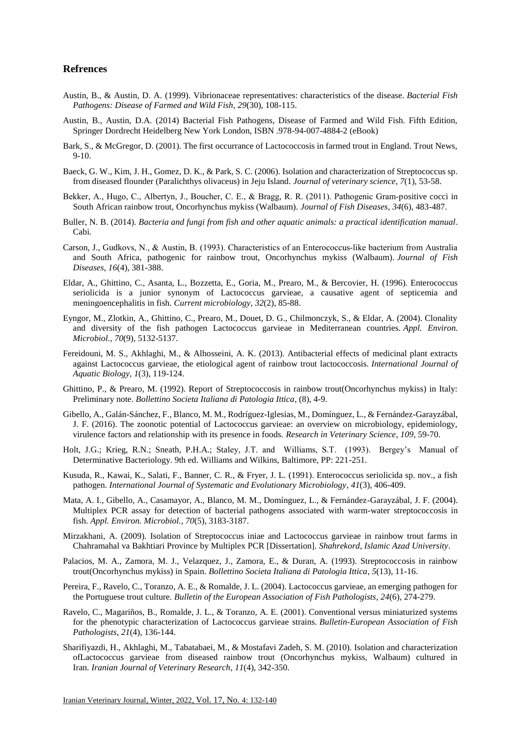## **Refrences**

- Austin, B., & Austin, D. A. (1999). Vibrionaceae representatives: characteristics of the disease. *Bacterial Fish Pathogens: Disease of Farmed and Wild Fish*, *29*(30), 108-115.
- Austin, B., Austin, D.A. (2014) Bacterial Fish Pathogens, Disease of Farmed and Wild Fish. Fifth Edition, Springer Dordrecht Heidelberg New York London, ISBN .978-94-007-4884-2 (eBook)
- Bark, S., & McGregor, D. (2001). The first occurrance of Lactococcosis in farmed trout in England. Trout News, 9-10.
- Baeck, G. W., Kim, J. H., Gomez, D. K., & Park, S. C. (2006). Isolation and characterization of Streptococcus sp. from diseased flounder (Paralichthys olivaceus) in Jeju Island. *Journal of veterinary science*, *7*(1), 53-58.
- Bekker, A., Hugo, C., Albertyn, J., Boucher, C. E., & Bragg, R. R. (2011). Pathogenic Gram-positive cocci in South African rainbow trout, Oncorhynchus mykiss (Walbaum). *Journal of Fish Diseases*, *34*(6), 483-487.
- Buller, N. B. (2014). *Bacteria and fungi from fish and other aquatic animals: a practical identification manual*. Cabi.
- Carson, J., Gudkovs, N., & Austin, B. (1993). Characteristics of an Enterococcus‐like bacterium from Australia and South Africa, pathogenic for rainbow trout, Oncorhynchus mykiss (Walbaum). *Journal of Fish Diseases*, *16*(4), 381-388.
- Eldar, A., Ghittino, C., Asanta, L., Bozzetta, E., Goria, M., Prearo, M., & Bercovier, H. (1996). Enterococcus seriolicida is a junior synonym of Lactococcus garvieae, a causative agent of septicemia and meningoencephalitis in fish. *Current microbiology*, *32*(2), 85-88.
- Eyngor, M., Zlotkin, A., Ghittino, C., Prearo, M., Douet, D. G., Chilmonczyk, S., & Eldar, A. (2004). Clonality and diversity of the fish pathogen Lactococcus garvieae in Mediterranean countries. *Appl. Environ. Microbiol.*, *70*(9), 5132-5137.
- Fereidouni, M. S., Akhlaghi, M., & Alhosseini, A. K. (2013). Antibacterial effects of medicinal plant extracts against Lactococcus garvieae, the etiological agent of rainbow trout lactococcosis. *International Journal of Aquatic Biology*, *1*(3), 119-124.
- Ghittino, P., & Prearo, M. (1992). Report of Streptococcosis in rainbow trout(Oncorhynchus mykiss) in Italy: Preliminary note. *Bollettino Societa Italiana di Patologia Ittica*, (8), 4-9.
- Gibello, A., Galán-Sánchez, F., Blanco, M. M., Rodríguez-Iglesias, M., Domínguez, L., & Fernández-Garayzábal, J. F. (2016). The zoonotic potential of Lactococcus garvieae: an overview on microbiology, epidemiology, virulence factors and relationship with its presence in foods. *Research in Veterinary Science*, *109*, 59-70.
- Holt, J.G.; Krieg, R.N.; Sneath, P.H.A.; Staley, J.T. and Williams, S.T. (1993). Bergey's Manual of Determinative Bacteriology. 9th ed. Williams and Wilkins, Baltimore, PP: 221-251.
- Kusuda, R., Kawai, K., Salati, F., Banner, C. R., & Fryer, J. L. (1991). Enterococcus seriolicida sp. nov., a fish pathogen. *International Journal of Systematic and Evolutionary Microbiology*, *41*(3), 406-409.
- Mata, A. I., Gibello, A., Casamayor, A., Blanco, M. M., Domínguez, L., & Fernández-Garayzábal, J. F. (2004). Multiplex PCR assay for detection of bacterial pathogens associated with warm-water streptococcosis in fish. *Appl. Environ. Microbiol.*, *70*(5), 3183-3187.
- Mirzakhani, A. (2009). Isolation of Streptococcus iniae and Lactococcus garvieae in rainbow trout farms in Chahramahal va Bakhtiari Province by Multiplex PCR [Dissertation]. *Shahrekord, Islamic Azad University*.
- Palacios, M. A., Zamora, M. J., Velazquez, J., Zamora, E., & Duran, A. (1993). Streptococcosis in rainbow trout(Oncorhynchus mykiss) in Spain. *Bollettino Societa Italiana di Patologia Ittica*, *5*(13), 11-16.
- Pereira, F., Ravelo, C., Toranzo, A. E., & Romalde, J. L. (2004). Lactococcus garvieae, an emerging pathogen for the Portuguese trout culture. *Bulletin of the European Association of Fish Pathologists*, *24*(6), 274-279.
- Ravelo, C., Magariños, B., Romalde, J. L., & Toranzo, A. E. (2001). Conventional versus miniaturized systems for the phenotypic characterization of Lactococcus garvieae strains. *Bulletin-European Association of Fish Pathologists*, *21*(4), 136-144.
- Sharifiyazdi, H., Akhlaghi, M., Tabatabaei, M., & Mostafavi Zadeh, S. M. (2010). Isolation and characterization ofLactococcus garvieae from diseased rainbow trout (Oncorhynchus mykiss, Walbaum) cultured in Iran. *Iranian Journal of Veterinary Research*, *11*(4), 342-350.